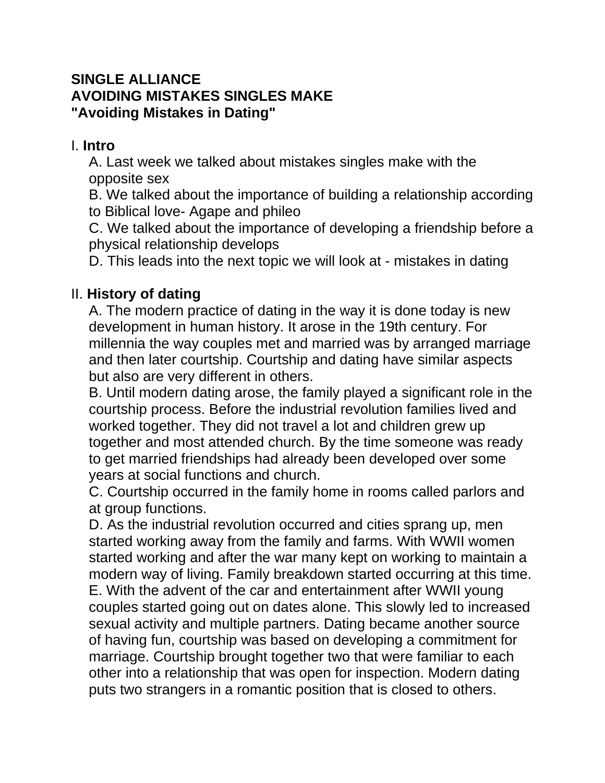#### **SINGLE ALLIANCE AVOIDING MISTAKES SINGLES MAKE "Avoiding Mistakes in Dating"**

### I. **Intro**

A. Last week we talked about mistakes singles make with the opposite sex

B. We talked about the importance of building a relationship according to Biblical love- Agape and phileo

C. We talked about the importance of developing a friendship before a physical relationship develops

D. This leads into the next topic we will look at - mistakes in dating

# II. **History of dating**

A. The modern practice of dating in the way it is done today is new development in human history. It arose in the 19th century. For millennia the way couples met and married was by arranged marriage and then later courtship. Courtship and dating have similar aspects but also are very different in others.

B. Until modern dating arose, the family played a significant role in the courtship process. Before the industrial revolution families lived and worked together. They did not travel a lot and children grew up together and most attended church. By the time someone was ready to get married friendships had already been developed over some years at social functions and church.

C. Courtship occurred in the family home in rooms called parlors and at group functions.

D. As the industrial revolution occurred and cities sprang up, men started working away from the family and farms. With WWII women started working and after the war many kept on working to maintain a modern way of living. Family breakdown started occurring at this time. E. With the advent of the car and entertainment after WWII young couples started going out on dates alone. This slowly led to increased sexual activity and multiple partners. Dating became another source of having fun, courtship was based on developing a commitment for marriage. Courtship brought together two that were familiar to each other into a relationship that was open for inspection. Modern dating puts two strangers in a romantic position that is closed to others.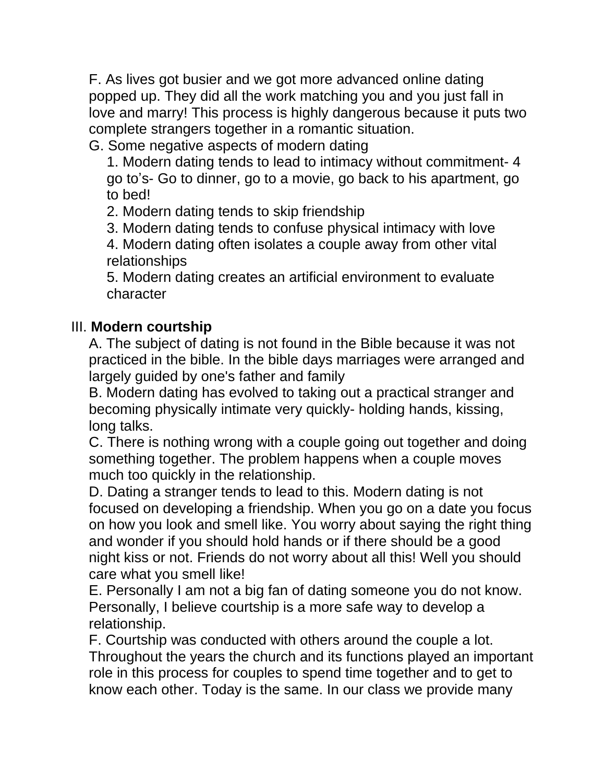F. As lives got busier and we got more advanced online dating popped up. They did all the work matching you and you just fall in love and marry! This process is highly dangerous because it puts two complete strangers together in a romantic situation.

G. Some negative aspects of modern dating

1. Modern dating tends to lead to intimacy without commitment- 4 go to's- Go to dinner, go to a movie, go back to his apartment, go to bed!

2. Modern dating tends to skip friendship

3. Modern dating tends to confuse physical intimacy with love

4. Modern dating often isolates a couple away from other vital relationships

5. Modern dating creates an artificial environment to evaluate character

#### III. **Modern courtship**

A. The subject of dating is not found in the Bible because it was not practiced in the bible. In the bible days marriages were arranged and largely guided by one's father and family

B. Modern dating has evolved to taking out a practical stranger and becoming physically intimate very quickly- holding hands, kissing, long talks.

C. There is nothing wrong with a couple going out together and doing something together. The problem happens when a couple moves much too quickly in the relationship.

D. Dating a stranger tends to lead to this. Modern dating is not focused on developing a friendship. When you go on a date you focus on how you look and smell like. You worry about saying the right thing and wonder if you should hold hands or if there should be a good night kiss or not. Friends do not worry about all this! Well you should care what you smell like!

E. Personally I am not a big fan of dating someone you do not know. Personally, I believe courtship is a more safe way to develop a relationship.

F. Courtship was conducted with others around the couple a lot. Throughout the years the church and its functions played an important role in this process for couples to spend time together and to get to know each other. Today is the same. In our class we provide many